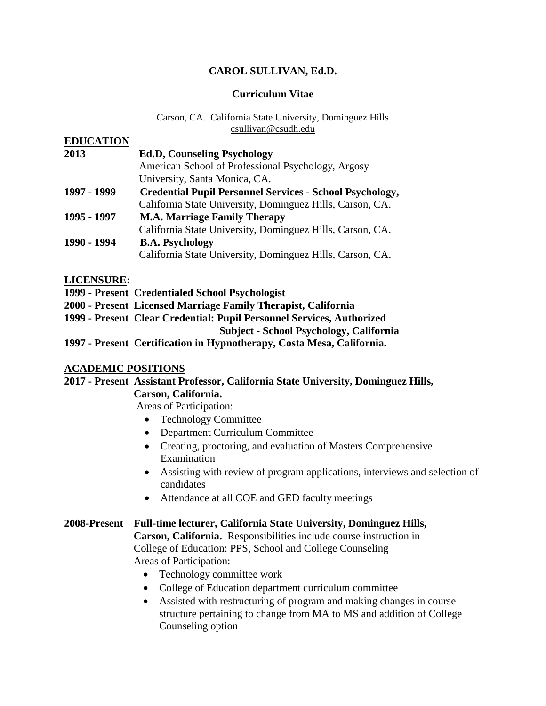## **CAROL SULLIVAN, Ed.D.**

#### **Curriculum Vitae**

#### Carson, CA. California State University, Dominguez Hills csullivan@csudh.edu

| <b>EDUCATION</b> |                                                                 |
|------------------|-----------------------------------------------------------------|
| 2013             | <b>Ed.D, Counseling Psychology</b>                              |
|                  | American School of Professional Psychology, Argosy              |
|                  | University, Santa Monica, CA.                                   |
| 1997 - 1999      | <b>Credential Pupil Personnel Services - School Psychology,</b> |
|                  | California State University, Dominguez Hills, Carson, CA.       |
| 1995 - 1997      | <b>M.A. Marriage Family Therapy</b>                             |
|                  | California State University, Dominguez Hills, Carson, CA.       |
| 1990 - 1994      | <b>B.A. Psychology</b>                                          |
|                  | California State University, Dominguez Hills, Carson, CA.       |

**LICENSURE:**

- **1999 - Present Credentialed School Psychologist**
- **2000 - Present Licensed Marriage Family Therapist, California**
- **1999 - Present Clear Credential: Pupil Personnel Services, Authorized**

 **Subject - School Psychology, California**

**1997 - Present Certification in Hypnotherapy, Costa Mesa, California.** 

#### **ACADEMIC POSITIONS**

#### **2017 - Present Assistant Professor, California State University, Dominguez Hills, Carson, California.**

Areas of Participation:

- Technology Committee
- Department Curriculum Committee
- Creating, proctoring, and evaluation of Masters Comprehensive Examination
- Assisting with review of program applications, interviews and selection of candidates
- Attendance at all COE and GED faculty meetings

#### **2008-Present Full-time lecturer, California State University, Dominguez Hills,**

 **Carson, California.** Responsibilities include course instruction in College of Education: PPS, School and College Counseling Areas of Participation:

- Technology committee work
- College of Education department curriculum committee
- Assisted with restructuring of program and making changes in course structure pertaining to change from MA to MS and addition of College Counseling option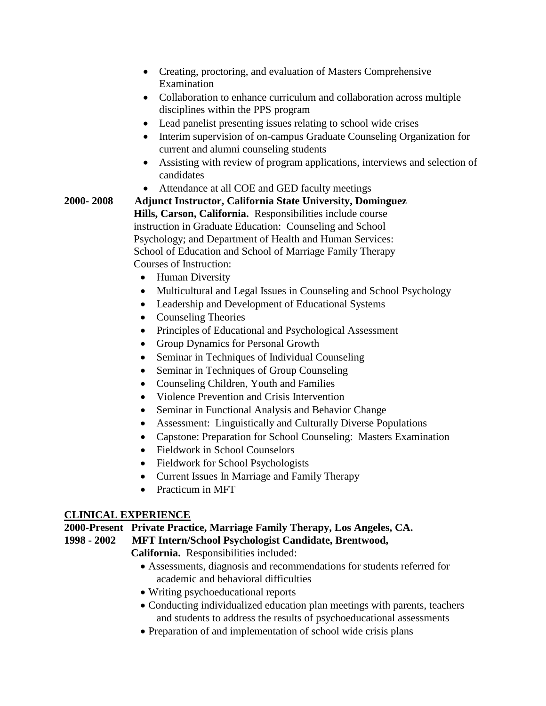- Creating, proctoring, and evaluation of Masters Comprehensive Examination
- Collaboration to enhance curriculum and collaboration across multiple disciplines within the PPS program
- Lead panelist presenting issues relating to school wide crises
- Interim supervision of on-campus Graduate Counseling Organization for current and alumni counseling students
- Assisting with review of program applications, interviews and selection of candidates
- Attendance at all COE and GED faculty meetings

# **2000- 2008 Adjunct Instructor, California State University, Dominguez Hills, Carson, California.** Responsibilities include course instruction in Graduate Education: Counseling and School Psychology; and Department of Health and Human Services: School of Education and School of Marriage Family Therapy Courses of Instruction:

- Human Diversity
- Multicultural and Legal Issues in Counseling and School Psychology
- Leadership and Development of Educational Systems
- Counseling Theories
- Principles of Educational and Psychological Assessment
- Group Dynamics for Personal Growth
- Seminar in Techniques of Individual Counseling
- Seminar in Techniques of Group Counseling
- Counseling Children, Youth and Families
- Violence Prevention and Crisis Intervention
- Seminar in Functional Analysis and Behavior Change
- Assessment: Linguistically and Culturally Diverse Populations
- Capstone: Preparation for School Counseling: Masters Examination
- Fieldwork in School Counselors
- Fieldwork for School Psychologists
- Current Issues In Marriage and Family Therapy
- Practicum in MFT

## **CLINICAL EXPERIENCE**

## **2000-Present Private Practice, Marriage Family Therapy, Los Angeles, CA.**

## **1998 - 2002 MFT Intern/School Psychologist Candidate, Brentwood,**

 **California.** Responsibilities included:

- Assessments, diagnosis and recommendations for students referred for academic and behavioral difficulties
- Writing psychoeducational reports
- Conducting individualized education plan meetings with parents, teachers and students to address the results of psychoeducational assessments
- Preparation of and implementation of school wide crisis plans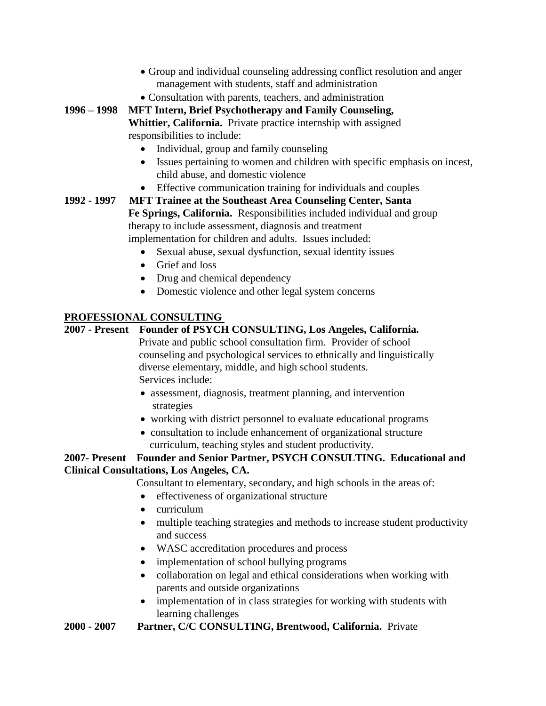- Group and individual counseling addressing conflict resolution and anger management with students, staff and administration
- Consultation with parents, teachers, and administration

**1996 – 1998 MFT Intern, Brief Psychotherapy and Family Counseling,**

 **Whittier, California.** Private practice internship with assigned responsibilities to include:

- Individual, group and family counseling
- Issues pertaining to women and children with specific emphasis on incest, child abuse, and domestic violence
- Effective communication training for individuals and couples

**1992 - 1997 MFT Trainee at the Southeast Area Counseling Center, Santa Fe Springs, California.** Responsibilities included individual and group therapy to include assessment, diagnosis and treatment implementation for children and adults. Issues included:

- Sexual abuse, sexual dysfunction, sexual identity issues
- Grief and loss
- Drug and chemical dependency
- Domestic violence and other legal system concerns

## **PROFESSIONAL CONSULTING**

# **2007 - Present Founder of PSYCH CONSULTING, Los Angeles, California.**

Private and public school consultation firm. Provider of school counseling and psychological services to ethnically and linguistically diverse elementary, middle, and high school students. Services include:

- assessment, diagnosis, treatment planning, and intervention strategies
- working with district personnel to evaluate educational programs
- consultation to include enhancement of organizational structure curriculum, teaching styles and student productivity.

## **2007- Present Founder and Senior Partner, PSYCH CONSULTING. Educational and Clinical Consultations, Los Angeles, CA.**

- Consultant to elementary, secondary, and high schools in the areas of:
- effectiveness of organizational structure
- curriculum
- multiple teaching strategies and methods to increase student productivity and success
- WASC accreditation procedures and process
- implementation of school bullying programs
- collaboration on legal and ethical considerations when working with parents and outside organizations
- implementation of in class strategies for working with students with learning challenges

## **2000 - 2007 Partner, C/C CONSULTING, Brentwood, California.** Private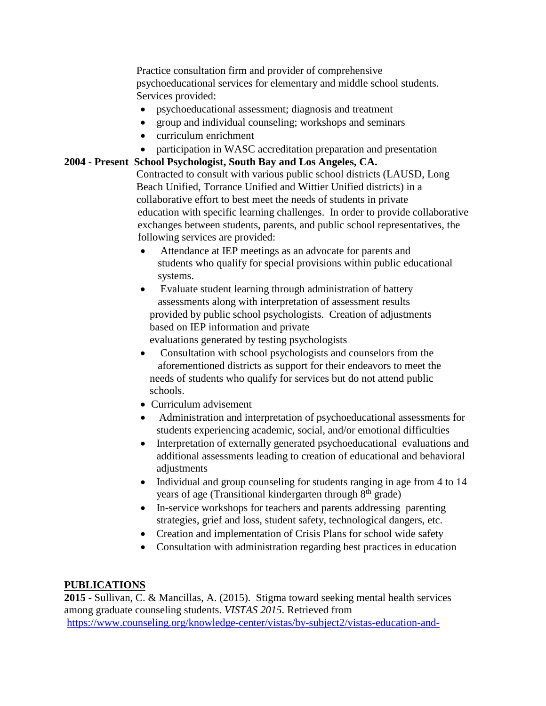Practice consultation firm and provider of comprehensive psychoeducational services for elementary and middle school students. Services provided:

- psychoeducational assessment; diagnosis and treatment
- group and individual counseling; workshops and seminars
- curriculum enrichment
- participation in WASC accreditation preparation and presentation

## **2004 - Present School Psychologist, South Bay and Los Angeles, CA.**

Contracted to consult with various public school districts (LAUSD, Long Beach Unified, Torrance Unified and Wittier Unified districts) in a collaborative effort to best meet the needs of students in private education with specific learning challenges. In order to provide collaborative exchanges between students, parents, and public school representatives, the following services are provided:

- Attendance at IEP meetings as an advocate for parents and students who qualify for special provisions within public educational systems.
- Evaluate student learning through administration of battery assessments along with interpretation of assessment results provided by public school psychologists. Creation of adjustments based on IEP information and private
	- evaluations generated by testing psychologists
- Consultation with school psychologists and counselors from the aforementioned districts as support for their endeavors to meet the needs of students who qualify for services but do not attend public schools.
- Curriculum advisement
- Administration and interpretation of psychoeducational assessments for students experiencing academic, social, and/or emotional difficulties
- Interpretation of externally generated psychoeducational evaluations and additional assessments leading to creation of educational and behavioral adjustments
- Individual and group counseling for students ranging in age from 4 to 14 years of age (Transitional kindergarten through 8<sup>th</sup> grade)
- In-service workshops for teachers and parents addressing parenting strategies, grief and loss, student safety, technological dangers, etc.
- Creation and implementation of Crisis Plans for school wide safety
- Consultation with administration regarding best practices in education

## **PUBLICATIONS**

**2015** - Sullivan, C. & Mancillas, A. (2015). Stigma toward seeking mental health services among graduate counseling students. *VISTAS 2015*. Retrieved from [https://www.counseling.org/knowledge-center/vistas/by-subject2/vistas-education-and-](https://www.counseling.org/knowledge-center/vistas/by-subject2/vistas-education-and-supervision/docs/default-source/vistas/stigma-toward-seeking-mental-health-services-among-graduate-counseling-students)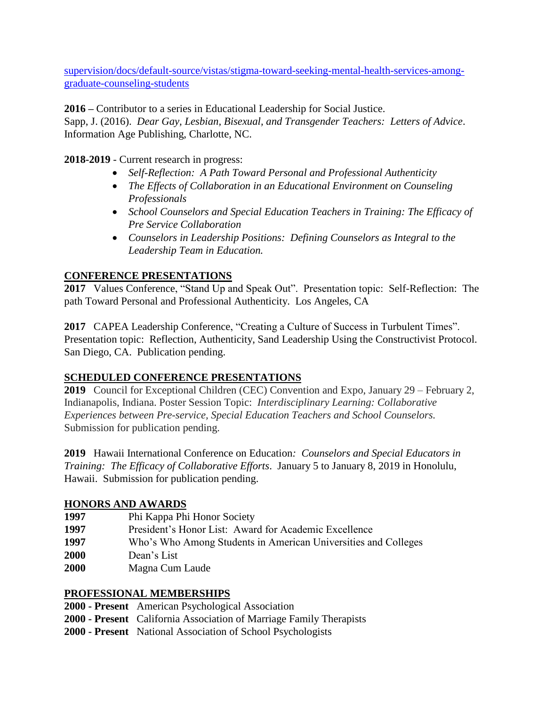[supervision/docs/default-source/vistas/stigma-toward-seeking-mental-health-services-among](https://www.counseling.org/knowledge-center/vistas/by-subject2/vistas-education-and-supervision/docs/default-source/vistas/stigma-toward-seeking-mental-health-services-among-graduate-counseling-students)[graduate-counseling-students](https://www.counseling.org/knowledge-center/vistas/by-subject2/vistas-education-and-supervision/docs/default-source/vistas/stigma-toward-seeking-mental-health-services-among-graduate-counseling-students)

**2016 –** Contributor to a series in Educational Leadership for Social Justice.

Sapp, J. (2016). *Dear Gay, Lesbian, Bisexual, and Transgender Teachers: Letters of Advice*. Information Age Publishing, Charlotte, NC.

**2018-2019** - Current research in progress:

- *Self-Reflection: A Path Toward Personal and Professional Authenticity*
- *The Effects of Collaboration in an Educational Environment on Counseling Professionals*
- *School Counselors and Special Education Teachers in Training: The Efficacy of Pre Service Collaboration*
- *Counselors in Leadership Positions: Defining Counselors as Integral to the Leadership Team in Education.*

## **CONFERENCE PRESENTATIONS**

**2017** Values Conference, "Stand Up and Speak Out". Presentation topic: Self-Reflection: The path Toward Personal and Professional Authenticity. Los Angeles, CA

**2017** CAPEA Leadership Conference, "Creating a Culture of Success in Turbulent Times". Presentation topic: Reflection, Authenticity, Sand Leadership Using the Constructivist Protocol. San Diego, CA. Publication pending.

## **SCHEDULED CONFERENCE PRESENTATIONS**

**2019** Council for Exceptional Children (CEC) Convention and Expo, January 29 – February 2, Indianapolis, Indiana. Poster Session Topic: *Interdisciplinary Learning: Collaborative Experiences between Pre-service, Special Education Teachers and School Counselors.*  Submission for publication pending.

**2019** Hawaii International Conference on Education*: Counselors and Special Educators in Training: The Efficacy of Collaborative Efforts*. January 5 to January 8, 2019 in Honolulu, Hawaii. Submission for publication pending.

## **HONORS AND AWARDS**

- **1997** Phi Kappa Phi Honor Society
- **1997** President's Honor List: Award for Academic Excellence
- **1997** Who's Who Among Students in American Universities and Colleges
- **2000** Dean's List
- **2000** Magna Cum Laude

## **PROFESSIONAL MEMBERSHIPS**

- **2000 - Present** American Psychological Association
- **2000 - Present** California Association of Marriage Family Therapists
- **2000 - Present** National Association of School Psychologists